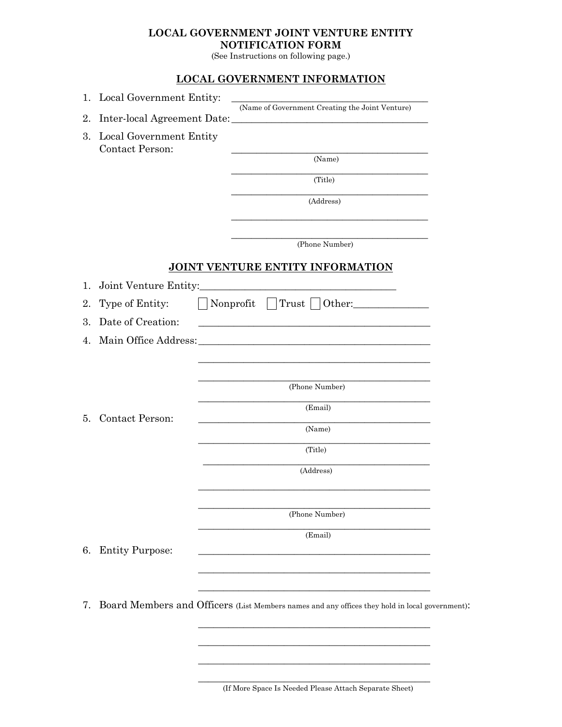## **LOCAL GOVERNMENT JOINT VENTURE ENTITY NOTIFICATION FORM**

(See Instructions on following page.)

## **LOCAL GOVERNMENT INFORMATION**

| 1. | Local Government Entity:                          | (Name of Government Creating the Joint Venture)                                                                       |
|----|---------------------------------------------------|-----------------------------------------------------------------------------------------------------------------------|
| 2. |                                                   |                                                                                                                       |
| 3. | Local Government Entity<br><b>Contact Person:</b> | <u>and the state of the state of the state of the state of the state of the state of the state of the state of th</u> |
|    |                                                   | (Name)                                                                                                                |
|    |                                                   | (Title)                                                                                                               |
|    |                                                   | (Address)<br><u> 1989 - Johann Stoff, amerikansk politiker (* 1908)</u>                                               |
|    |                                                   | (Phone Number)                                                                                                        |
|    |                                                   | JOINT VENTURE ENTITY INFORMATION                                                                                      |
| 1. |                                                   |                                                                                                                       |
| 2. | Type of Entity:                                   | $\vert$   Nonprofit $\vert$   Trust     Other:                                                                        |
| 3. | Date of Creation:                                 | <u> 1980 - Johann Stein, marwolaethau a bhann an t-Amhair ann an t-Amhair an t-Amhair an t-Amhair an t-Amhair an</u>  |
| 4. |                                                   |                                                                                                                       |
|    |                                                   |                                                                                                                       |
|    |                                                   |                                                                                                                       |
|    |                                                   | (Phone Number)                                                                                                        |
| 5. | <b>Contact Person:</b>                            | (Email)                                                                                                               |
|    |                                                   | the control of the control of the control of the control of the control of<br>(Name)                                  |
|    |                                                   | (Title)                                                                                                               |
|    |                                                   | (Address)                                                                                                             |
|    |                                                   |                                                                                                                       |
|    |                                                   | (Phone Number)                                                                                                        |
|    |                                                   | (Email)                                                                                                               |
| 6. | <b>Entity Purpose:</b>                            | <u> 1980 - Andrea Andrew Maria (h. 1980).</u>                                                                         |
|    |                                                   |                                                                                                                       |
|    |                                                   |                                                                                                                       |
|    |                                                   |                                                                                                                       |

\_\_\_\_\_\_\_\_\_\_\_\_\_\_\_\_\_\_\_\_\_\_\_\_\_\_\_\_\_\_\_\_\_\_\_\_\_\_\_\_\_\_\_\_\_\_ (If More Space Is Needed Please Attach Separate Sheet)

\_\_\_\_\_\_\_\_\_\_\_\_\_\_\_\_\_\_\_\_\_\_\_\_\_\_\_\_\_\_\_\_\_\_\_\_\_\_\_\_\_\_\_\_\_\_